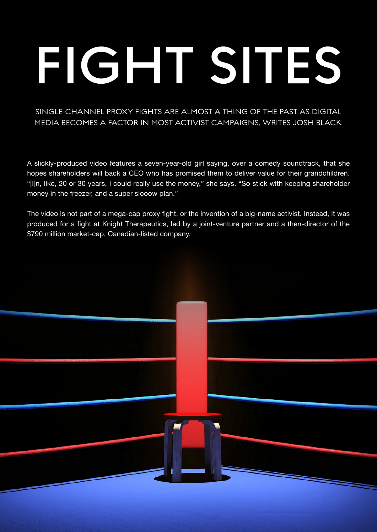#### SINGLE-CHANNEL PROXY FIGHTS ARE ALMOST A THING OF THE PAST AS DIGITAL MEDIA BECOMES A FACTOR IN MOST ACTIVIST CAMPAIGNS, WRITES JOSH BLACK.

A slickly-produced video features a seven-year-old girl saying, over a comedy soundtrack, that she hopes shareholders will back a CEO who has promised them to deliver value for their grandchildren. "[I]n, like, 20 or 30 years, I could really use the money," she says. "So stick with keeping shareholder money in the freezer, and a super slooow plan."

The video is not part of a mega-cap proxy fight, or the invention of a big-name activist. Instead, it was produced for a fight at Knight Therapeutics, led by a joint-venture partner and a then-director of the \$790 million market-cap, Canadian-listed company.

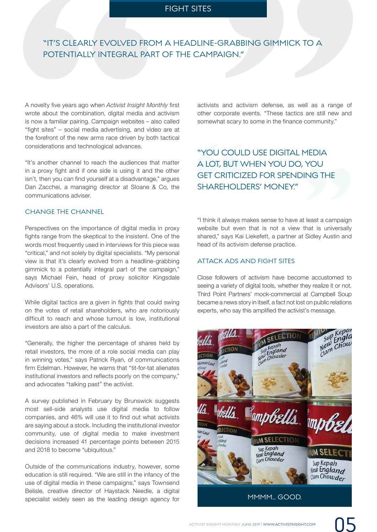# **FIGHT SITES<br>"IT'S CLEARLY EVOLVED FROM A HEADLINE-GRABBING GIMMICK TO A<br>POTENTIALLY INTEGRAL PART OF THE CAMPAIGN."** POTENTIALLY INTEGRAL PART OF THE CAMPAIGN."

A novelty five years ago when *Activist Insight Monthly* first wrote about the combination, digital media and activism is now a familiar pairing. Campaign websites – also called "fight sites" – social media advertising, and video are at the forefront of the new arms race driven by both tactical considerations and technological advances.

"It's another channel to reach the audiences that matter in a proxy fight and if one side is using it and the other isn't, then you can find yourself at a disadvantage," argues Dan Zacchei, a managing director at Sloane & Co, the communications adviser.

#### CHANGE THE CHANNEL

**"IT'S CLEARLY EVOLVED FROM**<br>**POTENTIALLY INTEGRAL PART**<br>**POTENTIALLY INTEGRAL PART**<br>**A** novelty five years ago when *Activist Insight Mon*<br>wrote about the combination, digital media and is<br>ifight sites" – social media adv Perspectives on the importance of digital media in proxy fights range from the skeptical to the insistent. One of the words most frequently used in interviews for this piece was "critical," and not solely by digital specialists. "My personal view is that it's clearly evolved from a headline-grabbing gimmick to a potentially integral part of the campaign," says Michael Fein, head of proxy solicitor Kingsdale Advisors' U.S. operations.

While digital tactics are a given in fights that could swing on the votes of retail shareholders, who are notoriously difficult to reach and whose turnout is low, institutional investors are also a part of the calculus.

"Generally, the higher the percentage of shares held by retail investors, the more of a role social media can play in winning votes," says Patrick Ryan, of communications firm Edelman. However, he warns that "tit-for-tat alienates institutional investors and reflects poorly on the company," and advocates "talking past" the activist.

A survey published in February by Brunswick suggests most sell-side analysts use digital media to follow companies, and 46% will use it to find out what activists are saying about a stock. Including the institutional investor community, use of digital media to make investment decisions increased 41 percentage points between 2015 and 2018 to become "ubiquitous."

Outside of the communications industry, however, some education is still required. "We are still in the infancy of the use of digital media in these campaigns," says Townsend Belisle, creative director of Haystack Needle, a digital specialist widely seen as the leading design agency for activists and activism defense, as well as a range of other corporate events. "These tactics are still new and somewhat scary to some in the finance community."

### somewhat scary to some in the finance community."<br>
"YOU COULD USE DIGITAL MEDIA<br>
A LOT, BUT WHEN YOU DO, YOU<br>
GET CRITICIZED FOR SPENDING THE<br>
SHAREHOLDERS' MONEY."<br>
"I think it always makes sense to have at least a campai "YOU COULD USE DIGITAL MEDIA A LOT, BUT WHEN YOU DO, YOU GET CRITICIZED FOR SPENDING THE SHARFHOLDERS' MONEY"

"I think it always makes sense to have at least a campaign website but even that is not a view that is universally shared," says Kai Liekefett, a partner at Sidley Austin and head of its activism defense practice.

#### ATTACK ADS AND FIGHT SITES

Close followers of activism have become accustomed to seeing a variety of digital tools, whether they realize it or not. Third Point Partners' mock-commercial at Campbell Soup became a news story in itself, a fact not lost on public relations experts, who say this amplified the activist's message.

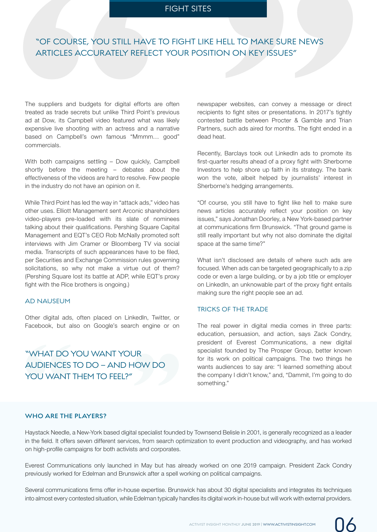# **"** " "OF COURSE, YOU STILL HAVE TO FIGHT LIKE HELL TO MAKE SURE NEWS<br>ARTICLES ACCURATELY REFLECT YOUR POSITION ON KEY ISSUES ARTICLES ACCURATELY REFLECT YOUR POSITION ON KEY ISSUES"

The suppliers and budgets for digital efforts are often treated as trade secrets but unlike Third Point's previous ad at Dow, its Campbell video featured what was likely expensive live shooting with an actress and a narrative based on Campbell's own famous "Mmmm… good" commercials.

With both campaigns settling – Dow quickly, Campbell shortly before the meeting – debates about the effectiveness of the videos are hard to resolve. Few people in the industry do not have an opinion on it.

While Third Point has led the way in "attack ads," video has other uses. Elliott Management sent Arconic shareholders video-players pre-loaded with its slate of nominees talking about their qualifications. Pershing Square Capital Management and EQT's CEO Rob McNally promoted soft interviews with Jim Cramer or Bloomberg TV via social media. Transcripts of such appearances have to be filed, per Securities and Exchange Commission rules governing solicitations, so why not make a virtue out of them? (Pershing Square lost its battle at ADP, while EQT's proxy fight with the Rice brothers is ongoing.) **"OF COURSE, YOU STILL HAVE ARTICLES ACCURATELY REFLECT ARTICLES ACCURATELY REFLECT ARTICLES ACCURATELY REFLECT ARTICLES ACCURATELY REFLECT THE stated as trade secrets but unlike Third Point's pad at Dow, its Campbell vide** 

#### AD NAUSEUM

Other digital ads, often placed on LinkedIn, Twitter, or Facebook, but also on Google's search engine or on

## "WHAT DO<br>AUDIENCES<br>YOU WANT<br>WHO ARE THE<br>Haystack Needle, i<br>in the field. It offers Other digital ads, often placed on LinkedIn, Twitter, or<br>Facebook, but also on Google's search engine or on<br>"WHAT DO YOU WANT YOUR<br>AUDIENCES TO DO – AND HOW DO<br>YOU WANT THEM TO FEEL?" AUDIENCES TO DO – AND HOW DO YOU WANT THEM TO FEEL?"

newspaper websites, can convey a message or direct recipients to fight sites or presentations. In 2017's tightly contested battle between Procter & Gamble and Trian Partners, such ads aired for months. The fight ended in a dead heat.

Recently, Barclays took out LinkedIn ads to promote its first-quarter results ahead of a proxy fight with Sherborne Investors to help shore up faith in its strategy. The bank won the vote, albeit helped by journalists' interest in Sherborne's hedging arrangements.

"Of course, you still have to fight like hell to make sure news articles accurately reflect your position on key issues," says Jonathan Doorley, a New York-based partner at communications firm Brunswick. "That ground game is still really important but why not also dominate the digital space at the same time?"

What isn't disclosed are details of where such ads are focused. When ads can be targeted geographically to a zip code or even a large building, or by a job title or employer on LinkedIn, an unknowable part of the proxy fight entails making sure the right people see an ad.

#### TRICKS OF THE TRADE

The real power in digital media comes in three parts: education, persuasion, and action, says Zack Condry, president of Everest Communications, a new digital specialist founded by The Prosper Group, better known for its work on political campaigns. The two things he wants audiences to say are: "I learned something about the company I didn't know," and, "Dammit, I'm going to do something."

#### **WHO ARE THE PLAYERS?**

Haystack Needle, a New-York based digital specialist founded by Townsend Belisle in 2001, is generally recognized as a leader in the field. It offers seven different services, from search optimization to event production and videography, and has worked on high-profile campaigns for both activists and corporates.

Everest Communications only launched in May but has already worked on one 2019 campaign. President Zack Condry previously worked for Edelman and Brunswick after a spell working on political campaigns.

Several communications firms offer in-house expertise. Brunswick has about 30 digital specialists and integrates its techniques into almost every contested situation, while Edelman typically handles its digital work in-house but will work with external providers.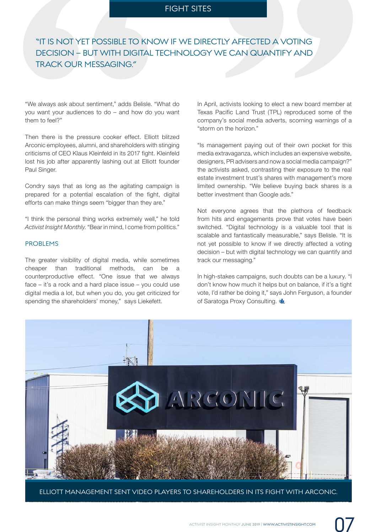## **"** "IT IS NOT YET POSSIBLE TO KNOW IF WE DIRECTLY AFFECTED A VOTING<br>DECISION – BUT WITH DIGITAL TECHNOLOGY WE CAN QUANTIFY AND<br>TRACK OUR MESSAGING." DECISION – BUT WITH DIGITAL TECHNOLOGY WE CAN QUANTIFY AND TRACK OUR MESSAGING."

"We always ask about sentiment," adds Belisle. "What do you want your audiences to do – and how do you want them to feel?"

Then there is the pressure cooker effect. Elliott blitzed Arconic employees, alumni, and shareholders with stinging criticisms of CEO Klaus Kleinfeld in its 2017 fight. Kleinfeld lost his job after apparently lashing out at Elliott founder Paul Singer. **"IT IS NOT YET POSSIBLE TO KNC<br>
DECISION – BUT WITH DIGITAL T<br>
TRACK OUR MESSAGING."<br>
"We always ask about sentiment," adds Belisle. "V<br>
"We always ask about sentiment," adds Belisle. "V<br>
you want your audiences to do – a** 

Condry says that as long as the agitating campaign is prepared for a potential escalation of the fight, digital efforts can make things seem "bigger than they are."

"I think the personal thing works extremely well," he told *Activist Insight Monthly*. "Bear in mind, I come from politics."

#### PROBLEMS

The greater visibility of digital media, while sometimes cheaper than traditional methods, can be a counterproductive effect. "One issue that we always face – it's a rock and a hard place issue – you could use digital media a lot, but when you do, you get criticized for spending the shareholders' money," says Liekefett.

In April, activists looking to elect a new board member at Texas Pacific Land Trust (TPL) reproduced some of the company's social media adverts, scorning warnings of a "storm on the horizon."

"Is management paying out of their own pocket for this media extravaganza, which includes an expensive website, designers, PR advisers and now a social media campaign?" the activists asked, contrasting their exposure to the real estate investment trust's shares with management's more limited ownership. "We believe buying back shares is a better investment than Google ads."

Not everyone agrees that the plethora of feedback from hits and engagements prove that votes have been switched. "Digital technology is a valuable tool that is scalable and fantastically measurable," says Belisle. "It is not yet possible to know if we directly affected a voting decision – but with digital technology we can quantify and track our messaging."

In high-stakes campaigns, such doubts can be a luxury. "I don't know how much it helps but on balance, if it's a tight vote, I'd rather be doing it," says John Ferguson, a founder of Saratoga Proxy Consulting.



ELLIOTT MANAGEMENT SENT VIDEO PLAYERS TO SHAREHOLDERS IN ITS FIGHT WITH ARCONIC.